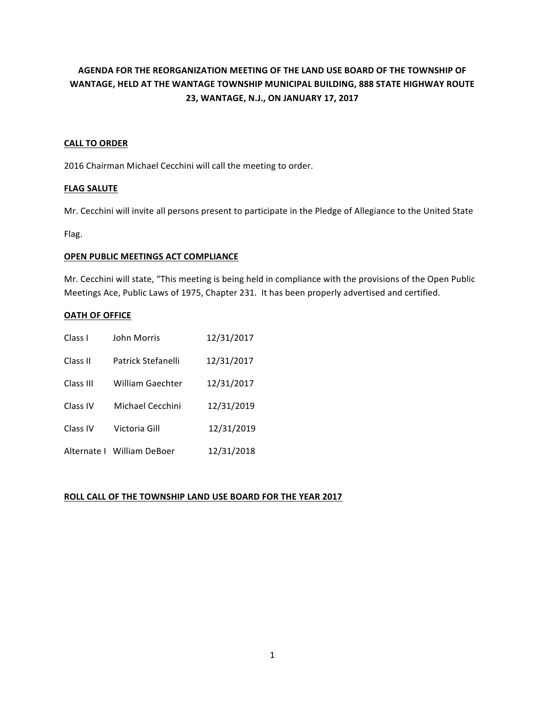# AGENDA FOR THE REORGANIZATION MEETING OF THE LAND USE BOARD OF THE TOWNSHIP OF WANTAGE, HELD AT THE WANTAGE TOWNSHIP MUNICIPAL BUILDING, 888 STATE HIGHWAY ROUTE **23, WANTAGE, N.J., ON JANUARY 17, 2017**

#### **CALL TO ORDER**

2016 Chairman Michael Cecchini will call the meeting to order.

#### **FLAG SALUTE**

Mr. Cecchini will invite all persons present to participate in the Pledge of Allegiance to the United State

Flag. 

#### **OPEN PUBLIC MEETINGS ACT COMPLIANCE**

Mr. Cecchini will state, "This meeting is being held in compliance with the provisions of the Open Public Meetings Ace, Public Laws of 1975, Chapter 231. It has been properly advertised and certified.

#### **OATH OF OFFICE**

| Class I     | 12/31/2017<br>John Morris      |            |
|-------------|--------------------------------|------------|
| Class II    | Patrick Stefanelli             | 12/31/2017 |
| Class III   | 12/31/2017<br>William Gaechter |            |
| Class IV    | 12/31/2019<br>Michael Cecchini |            |
| Class IV    | 12/31/2019<br>Victoria Gill    |            |
| Alternate I | William DeBoer                 | 12/31/2018 |

#### **ROLL CALL OF THE TOWNSHIP LAND USE BOARD FOR THE YEAR 2017**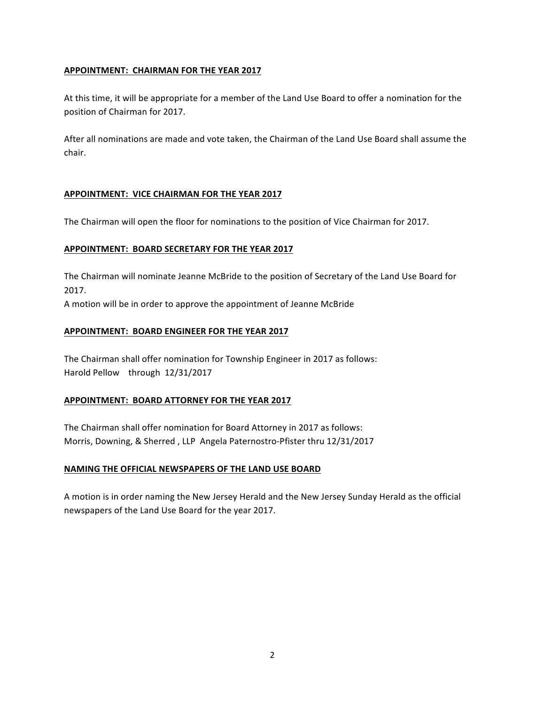# **APPOINTMENT: CHAIRMAN FOR THE YEAR 2017**

At this time, it will be appropriate for a member of the Land Use Board to offer a nomination for the position of Chairman for 2017.

After all nominations are made and vote taken, the Chairman of the Land Use Board shall assume the chair.

# **APPOINTMENT: VICE CHAIRMAN FOR THE YEAR 2017**

The Chairman will open the floor for nominations to the position of Vice Chairman for 2017.

#### **APPOINTMENT: BOARD SECRETARY FOR THE YEAR 2017**

The Chairman will nominate Jeanne McBride to the position of Secretary of the Land Use Board for 2017.

A motion will be in order to approve the appointment of Jeanne McBride

# **APPOINTMENT: BOARD ENGINEER FOR THE YEAR 2017**

The Chairman shall offer nomination for Township Engineer in 2017 as follows: Harold Pellow through 12/31/2017

#### **APPOINTMENT: BOARD ATTORNEY FOR THE YEAR 2017**

The Chairman shall offer nomination for Board Attorney in 2017 as follows: Morris, Downing, & Sherred, LLP Angela Paternostro-Pfister thru 12/31/2017

#### **NAMING THE OFFICIAL NEWSPAPERS OF THE LAND USE BOARD**

A motion is in order naming the New Jersey Herald and the New Jersey Sunday Herald as the official newspapers of the Land Use Board for the year 2017.